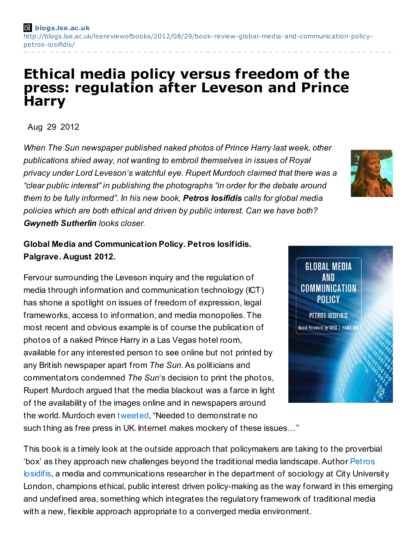## **Ethical media policy versus freedom of the press: regulation after Leveson and Prince Harry**

Aug 29 2012

*When The Sun newspaper published naked photos of Prince Harry last week, other publications shied away, not wanting to embroil themselves in issues of Royal privacy under Lord Leveson's watchful eye. Rupert Murdoch claimed that there was a "clear public interest" in publishing the photographs "in order for the debate around them to be fully informed". In his new book, Petros Iosifidis calls for global media policies which are both ethical and driven by public interest. Can we have both? Gwyneth Sutherlin looks closer.*

## **Global Media and Communication Policy. Petros Iosifidis. Palgrave. August 2012.**

Fervour surrounding the Leveson inquiry and the regulation of media through information and communication technology (ICT) has shone a spotlight on issues of freedom of expression, legal frameworks, access to information, and media monopolies. The most recent and obvious example is of course the publication of photos of a naked Prince Harry in a Las Vegas hotel room, available for any interested person to see online but not printed by any British newspaper apart from *The Sun*.As politicians and commentators condemned *The Sun*'s decision to print the photos, Rupert Murdoch argued that the media blackout was a farce in light of the availability of the images online and in newspapers around the world. Murdoch even [tweeted](https://twitter.com/rupertmurdoch/status/239461046392328192), "Needed to demonstrate no such thing as free press in UK. Internet makes mockery of these issues…"

This book is a timely look at the outside approach that policymakers are taking to the proverbial 'box' as they approach new challenges beyond the traditional media landscape. Author Petros Iosidifis, a media and communications researcher in the department of sociology at City University London, champions ethical, public interest driven policy-making as the way forward in this emerging and undefined area, something which integrates the regulatory framework of traditional media with a new, flexible approach appropriate to a converged media environment.



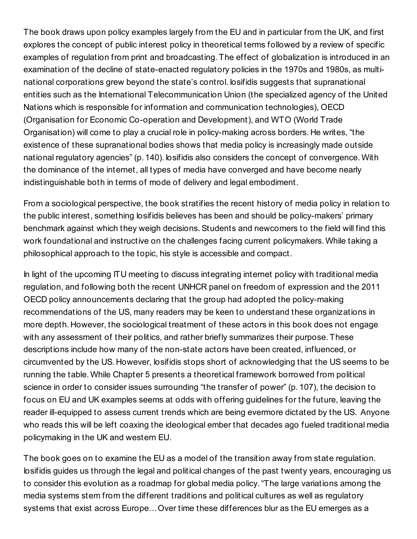The book draws upon policy examples largely from the EU and in particular from the UK, and first explores the concept of public interest policy in theoretical terms followed by a review of specific examples of regulation from print and broadcasting. The effect of globalization is introduced in an examination of the decline of state-enacted regulatory policies in the 1970s and 1980s, as multinational corporations grew beyond the state's control. Iosifidis suggests that supranational entities such as the International Telecommunication Union (the specialized agency of the United Nations which is responsible for information and communication technologies), OECD (Organisation for Economic Co-operation and Development), and WTO (World Trade Organisation) will come to play a crucial role in policy-making across borders. He writes, "the existence of these supranational bodies shows that media policy is increasingly made outside national regulatory agencies" (p. 140). Iosifidis also considers the concept of convergence. With the dominance of the internet, all types of media have converged and have become nearly indistinguishable both in terms of mode of delivery and legal embodiment.

From a sociological perspective, the book stratifies the recent history of media policy in relation to the public interest, something Iosifidis believes has been and should be policy-makers' primary benchmark against which they weigh decisions.Students and newcomers to the field will find this work foundational and instructive on the challenges facing current policymakers. While taking a philosophical approach to the topic, his style is accessible and compact.

In light of the upcoming ITU meeting to discuss integrating internet policy with traditional media regulation, and following both the recent UNHCR panel on freedom of expression and the 2011 OECD policy announcements declaring that the group had adopted the policy-making recommendations of the US, many readers may be keen to understand these organizations in more depth. However, the sociological treatment of these actors in this book does not engage with any assessment of their politics, and rather briefly summarizes their purpose. These descriptions include how many of the non-state actors have been created, influenced, or circumvented by the US. However, Iosifidis stops short of acknowledging that the US seems to be running the table. While Chapter 5 presents a theoretical framework borrowed from political science in order to consider issues surrounding "the transfer of power" (p. 107), the decision to focus on EU and UK examples seems at odds with offering guidelines for the future, leaving the reader ill-equipped to assess current trends which are being evermore dictated by the US. Anyone who reads this will be left coaxing the ideological ember that decades ago fueled traditional media policymaking in the UK and western EU.

The book goes on to examine the EU as a model of the transition away from state regulation. Iosifidis guides us through the legal and political changes of the past twenty years, encouraging us to consider this evolution as a roadmap for global media policy."The large variations among the media systems stem from the different traditions and political cultures as well as regulatory systems that exist across Europe…Over time these differences blur as the EU emerges as a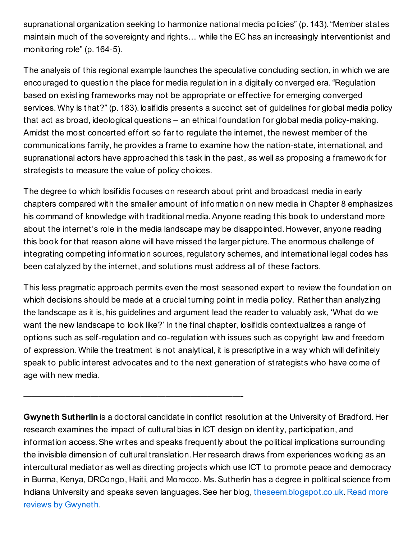supranational organization seeking to harmonize national media policies" (p. 143)."Member states maintain much of the sovereignty and rights… while the EC has an increasingly interventionist and monitoring role" (p. 164-5).

The analysis of this regional example launches the speculative concluding section, in which we are encouraged to question the place for media regulation in a digitally converged era."Regulation based on existing frameworks may not be appropriate or effective for emerging converged services. Why is that?" (p. 183). Iosifidis presents a succinct set of guidelines for global media policy that act as broad, ideological questions – an ethical foundation for global media policy-making. Amidst the most concerted effort so far to regulate the internet, the newest member of the communications family, he provides a frame to examine how the nation-state, international, and supranational actors have approached this task in the past, as well as proposing a framework for strategists to measure the value of policy choices.

The degree to which losifidis focuses on research about print and broadcast media in early chapters compared with the smaller amount of information on new media in Chapter 8 emphasizes his command of knowledge with traditional media.Anyone reading this book to understand more about the internet's role in the media landscape may be disappointed. However, anyone reading this book for that reason alone will have missed the larger picture. The enormous challenge of integrating competing information sources, regulatory schemes, and international legal codes has been catalyzed by the internet, and solutions must address all of these factors.

This less pragmatic approach permits even the most seasoned expert to review the foundation on which decisions should be made at a crucial turning point in media policy. Rather than analyzing the landscape as it is, his guidelines and argument lead the reader to valuably ask, 'What do we want the new landscape to look like?' In the final chapter, Iosifidis contextualizes a range of options such as self-regulation and co-regulation with issues such as copyright law and freedom of expression. While the treatment is not analytical, it is prescriptive in a way which will definitely speak to public interest advocates and to the next generation of strategists who have come of age with new media.

**Gwyneth Sutherlin** is a doctoral candidate in conflict resolution at the University of Bradford. Her research examines the impact of cultural bias in ICT design on identity, participation, and information access. She writes and speaks frequently about the political implications surrounding the invisible dimension of cultural translation. Her research draws from experiences working as an intercultural mediator as well as directing projects which use ICT to promote peace and democracy in Burma, Kenya, DRCongo, Haiti, and Morocco. Ms.Sutherlin has a degree in political science from Indiana University and speaks seven languages.See her blog, [theseem.blogspot.co.uk.](http://blogs.lse.ac.uk/lsereviewofbooks/category/book-reviewers/gwyneth-sutherlin/) Read more reviews by Gwyneth.

——————————————————————————-